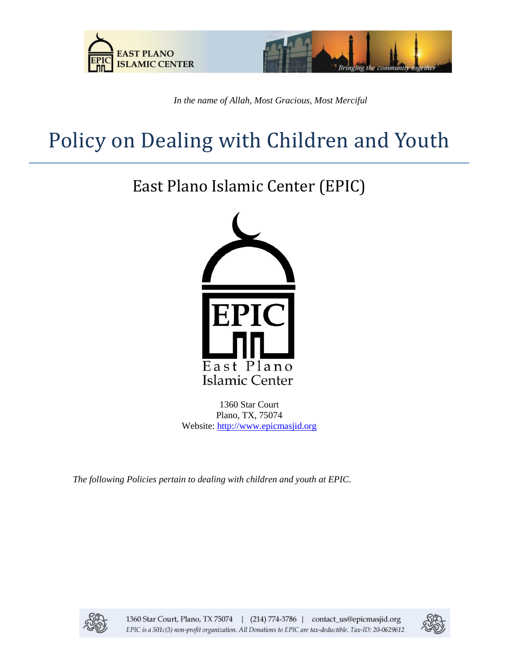



*In the name of Allah, Most Gracious, Most Merciful*

# Policy on Dealing with Children and Youth

## East Plano Islamic Center (EPIC)



1360 Star Court Plano, TX, 75074 Website: [http://www.epicmasjid.org](http://www.al-iman.org/)

*The following Policies pertain to dealing with children and youth at EPIC.*